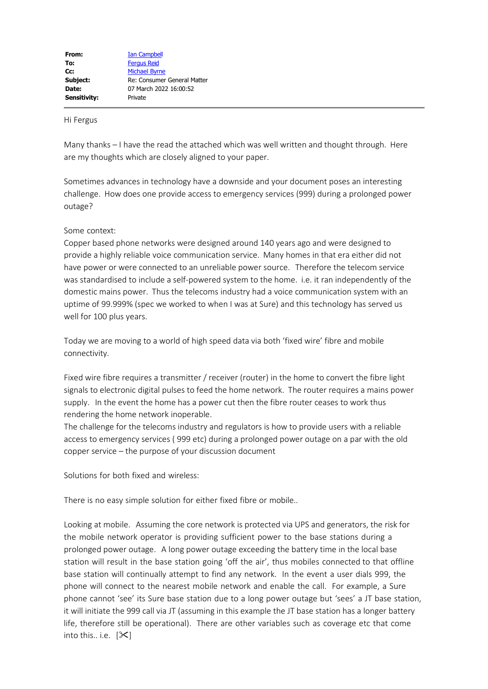## Hi Fergus

Many thanks – I have the read the attached which was well written and thought through. Here are my thoughts which are closely aligned to your paper.

Sometimes advances in technology have a downside and your document poses an interesting challenge. How does one provide access to emergency services (999) during a prolonged power outage?

## Some context:

Copper based phone networks were designed around 140 years ago and were designed to provide a highly reliable voice communication service. Many homes in that era either did not have power or were connected to an unreliable power source. Therefore the telecom service was standardised to include a self-powered system to the home. i.e. it ran independently of the domestic mains power. Thus the telecoms industry had a voice communication system with an uptime of 99.999% (spec we worked to when I was at Sure) and this technology has served us well for 100 plus years.

Today we are moving to a world of high speed data via both 'fixed wire' fibre and mobile connectivity.

Fixed wire fibre requires a transmitter / receiver (router) in the home to convert the fibre light signals to electronic digital pulses to feed the home network. The router requires a mains power supply. In the event the home has a power cut then the fibre router ceases to work thus rendering the home network inoperable.

The challenge for the telecoms industry and regulators is how to provide users with a reliable access to emergency services ( 999 etc) during a prolonged power outage on a par with the old copper service – the purpose of your discussion document

Solutions for both fixed and wireless:

There is no easy simple solution for either fixed fibre or mobile..

Looking at mobile. Assuming the core network is protected via UPS and generators, the risk for the mobile network operator is providing sufficient power to the base stations during a prolonged power outage. A long power outage exceeding the battery time in the local base station will result in the base station going 'off the air', thus mobiles connected to that offline base station will continually attempt to find any network. In the event a user dials 999, the phone will connect to the nearest mobile network and enable the call. For example, a Sure phone cannot 'see' its Sure base station due to a long power outage but 'sees' a JT base station, it will initiate the 999 call via JT (assuming in this example the JT base station has a longer battery life, therefore still be operational). There are other variables such as coverage etc that come into this.. i.e.  $[\mathcal{K}]$